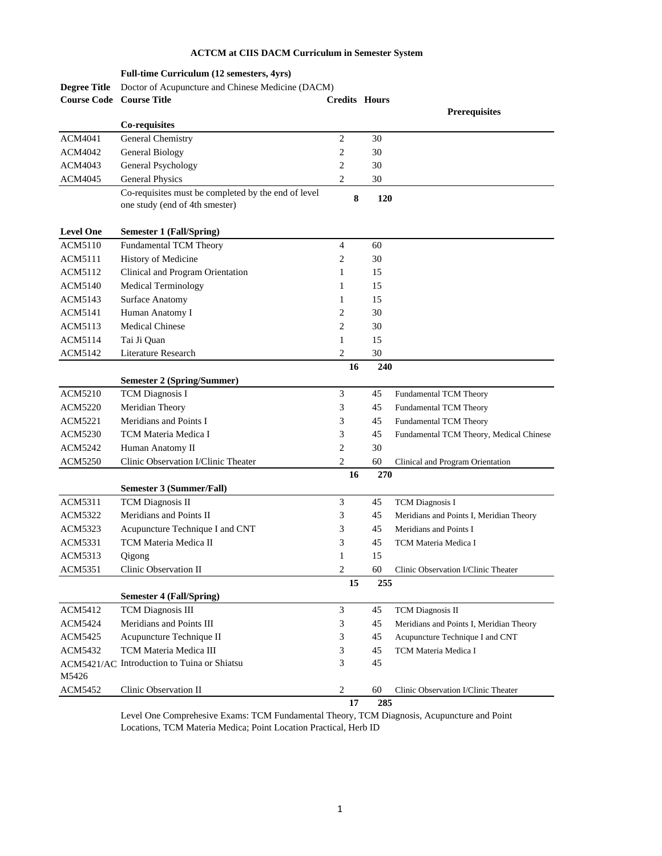## **ACTCM at CIIS DACM Curriculum in Semester System**

|                     | Full-time Curriculum (12 semesters, 4yrs)                                             |                      |     |                                         |
|---------------------|---------------------------------------------------------------------------------------|----------------------|-----|-----------------------------------------|
| <b>Degree Title</b> | Doctor of Acupuncture and Chinese Medicine (DACM)                                     |                      |     |                                         |
| <b>Course Code</b>  | <b>Course Title</b>                                                                   | <b>Credits Hours</b> |     |                                         |
|                     |                                                                                       |                      |     | <b>Prerequisites</b>                    |
|                     | Co-requisites                                                                         |                      |     |                                         |
| ACM4041             | General Chemistry                                                                     | $\mathfrak{2}$       | 30  |                                         |
| ACM4042             | General Biology                                                                       | 2                    | 30  |                                         |
| ACM4043             | General Psychology                                                                    | 2                    | 30  |                                         |
| ACM4045             | <b>General Physics</b>                                                                | 2                    | 30  |                                         |
|                     | Co-requisites must be completed by the end of level<br>one study (end of 4th smester) | 8                    | 120 |                                         |
|                     |                                                                                       |                      |     |                                         |
| <b>Level One</b>    | <b>Semester 1 (Fall/Spring)</b>                                                       |                      |     |                                         |
| <b>ACM5110</b>      | Fundamental TCM Theory                                                                | 4                    | 60  |                                         |
| ACM5111             | History of Medicine                                                                   | 2                    | 30  |                                         |
| ACM5112             | Clinical and Program Orientation                                                      | 1                    | 15  |                                         |
| <b>ACM5140</b>      | Medical Terminology                                                                   | 1                    | 15  |                                         |
| ACM5143             | Surface Anatomy                                                                       | 1                    | 15  |                                         |
| ACM5141             | Human Anatomy I                                                                       | 2                    | 30  |                                         |
| ACM5113             | <b>Medical Chinese</b>                                                                | 2                    | 30  |                                         |
| ACM5114             | Tai Ji Ouan                                                                           | 1                    | 15  |                                         |
| ACM5142             | Literature Research                                                                   | 2                    | 30  |                                         |
|                     |                                                                                       | 16                   | 240 |                                         |
|                     | <b>Semester 2 (Spring/Summer)</b>                                                     |                      |     |                                         |
| ACM5210             | <b>TCM</b> Diagnosis I                                                                | 3                    | 45  | Fundamental TCM Theory                  |
| ACM5220             | Meridian Theory                                                                       | 3                    | 45  | Fundamental TCM Theory                  |
| ACM5221             | Meridians and Points I                                                                | 3                    | 45  | Fundamental TCM Theory                  |
| <b>ACM5230</b>      | TCM Materia Medica I                                                                  | 3                    | 45  | Fundamental TCM Theory, Medical Chinese |
| ACM5242             | Human Anatomy II                                                                      | 2                    | 30  |                                         |
| <b>ACM5250</b>      | Clinic Observation I/Clinic Theater                                                   | 2                    | 60  | Clinical and Program Orientation        |
|                     |                                                                                       | 16                   | 270 |                                         |
|                     | Semester 3 (Summer/Fall)                                                              |                      |     |                                         |
| ACM5311             | <b>TCM Diagnosis II</b>                                                               | 3                    | 45  | <b>TCM</b> Diagnosis I                  |
| ACM5322             | Meridians and Points II                                                               | 3                    | 45  | Meridians and Points I, Meridian Theory |
| ACM5323             | Acupuncture Technique I and CNT                                                       | 3                    | 45  | Meridians and Points I                  |
| ACM5331             | TCM Materia Medica II                                                                 | 3                    | 45  | TCM Materia Medica I                    |
| ACM5313             | Qigong                                                                                | $\mathbf{1}$         | 15  |                                         |
| ACM5351             | Clinic Observation II                                                                 | $\mathbf{2}$         | 60  | Clinic Observation I/Clinic Theater     |
|                     |                                                                                       | 15                   | 255 |                                         |
|                     | <b>Semester 4 (Fall/Spring)</b>                                                       |                      |     |                                         |
| ACM5412             | <b>TCM</b> Diagnosis III                                                              | 3                    | 45  | <b>TCM</b> Diagnosis II                 |
| ACM5424             | Meridians and Points III                                                              | 3                    | 45  | Meridians and Points I, Meridian Theory |
| ACM5425             | Acupuncture Technique II                                                              | 3                    | 45  | Acupuncture Technique I and CNT         |
| <b>ACM5432</b>      | TCM Materia Medica III                                                                | 3                    | 45  | TCM Materia Medica I                    |
|                     | ACM5421/AC Introduction to Tuina or Shiatsu                                           | 3                    | 45  |                                         |
| M5426               |                                                                                       |                      |     |                                         |
| ACM5452             | Clinic Observation II                                                                 | 2                    | 60  | Clinic Observation I/Clinic Theater     |
|                     |                                                                                       | 17                   | 285 |                                         |

Level One Comprehesive Exams: TCM Fundamental Theory, TCM Diagnosis, Acupuncture and Point Locations, TCM Materia Medica; Point Location Practical, Herb ID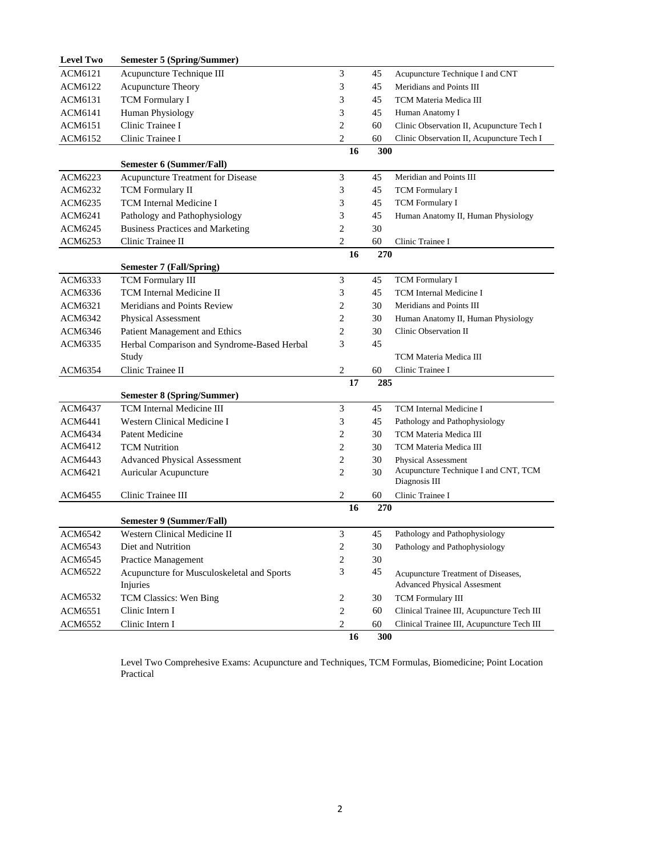| <b>Level Two</b> | <b>Semester 5 (Spring/Summer)</b>           |                             |     |                                            |  |  |  |
|------------------|---------------------------------------------|-----------------------------|-----|--------------------------------------------|--|--|--|
| ACM6121          | Acupuncture Technique III                   | 3                           | 45  | Acupuncture Technique I and CNT            |  |  |  |
| ACM6122          | <b>Acupuncture Theory</b>                   | 3                           | 45  | Meridians and Points III                   |  |  |  |
| ACM6131          | <b>TCM</b> Formulary I                      | 3                           | 45  | TCM Materia Medica III                     |  |  |  |
| ACM6141          | Human Physiology                            | 3                           | 45  | Human Anatomy I                            |  |  |  |
| ACM6151          | Clinic Trainee I                            | $\mathfrak{2}$              | 60  | Clinic Observation II, Acupuncture Tech I  |  |  |  |
| ACM6152          | Clinic Trainee I                            | $\mathfrak{2}$              | 60  | Clinic Observation II, Acupuncture Tech I  |  |  |  |
|                  |                                             | 16                          | 300 |                                            |  |  |  |
|                  | <b>Semester 6 (Summer/Fall)</b>             |                             |     |                                            |  |  |  |
| ACM6223          | Acupuncture Treatment for Disease           | $\mathfrak{Z}$              | 45  | Meridian and Points III                    |  |  |  |
| ACM6232          | <b>TCM</b> Formulary II                     | 3                           | 45  | <b>TCM</b> Formulary I                     |  |  |  |
| ACM6235          | <b>TCM</b> Internal Medicine I              | 3                           | 45  | <b>TCM</b> Formulary I                     |  |  |  |
| ACM6241          | Pathology and Pathophysiology               | 3                           | 45  | Human Anatomy II, Human Physiology         |  |  |  |
| ACM6245          | <b>Business Practices and Marketing</b>     | $\overline{2}$              | 30  |                                            |  |  |  |
| ACM6253          | Clinic Trainee II                           | $\mathfrak{2}$              | 60  | Clinic Trainee I                           |  |  |  |
|                  |                                             | 16                          | 270 |                                            |  |  |  |
|                  | <b>Semester 7 (Fall/Spring)</b>             |                             |     |                                            |  |  |  |
| ACM6333          | <b>TCM</b> Formulary III                    | $\ensuremath{\mathfrak{Z}}$ | 45  | TCM Formulary I                            |  |  |  |
| ACM6336          | TCM Internal Medicine II                    | 3                           | 45  | TCM Internal Medicine I                    |  |  |  |
| ACM6321          | Meridians and Points Review                 | 2                           | 30  | Meridians and Points III                   |  |  |  |
| ACM6342          | Physical Assessment                         | $\mathbf{2}$                | 30  | Human Anatomy II, Human Physiology         |  |  |  |
| ACM6346          | Patient Management and Ethics               | $\mathfrak{2}$              | 30  | Clinic Observation II                      |  |  |  |
| ACM6335          | Herbal Comparison and Syndrome-Based Herbal | 3                           | 45  |                                            |  |  |  |
|                  | Study                                       |                             |     | TCM Materia Medica III                     |  |  |  |
| ACM6354          | Clinic Trainee II                           | $\sqrt{2}$                  | 60  | Clinic Trainee I                           |  |  |  |
|                  |                                             | 17                          | 285 |                                            |  |  |  |
|                  | <b>Semester 8 (Spring/Summer)</b>           |                             |     |                                            |  |  |  |
| ACM6437          | <b>TCM</b> Internal Medicine III            | 3                           | 45  | TCM Internal Medicine I                    |  |  |  |
| ACM6441          | Western Clinical Medicine I                 | 3                           | 45  | Pathology and Pathophysiology              |  |  |  |
| ACM6434          | <b>Patent Medicine</b>                      | 2                           | 30  | TCM Materia Medica III                     |  |  |  |
| ACM6412          | <b>TCM Nutrition</b>                        | $\mathbf{2}$                | 30  | TCM Materia Medica III                     |  |  |  |
| ACM6443          | <b>Advanced Physical Assessment</b>         | $\mathbf{2}$                | 30  | <b>Physical Assessment</b>                 |  |  |  |
| ACM6421          | Auricular Acupuncture                       | $\mathfrak{2}$              | 30  | Acupuncture Technique I and CNT, TCM       |  |  |  |
|                  |                                             |                             |     | Diagnosis III                              |  |  |  |
| ACM6455          | Clinic Trainee III                          | $\mathbf{2}$                | 60  | Clinic Trainee I                           |  |  |  |
|                  | <b>Semester 9 (Summer/Fall)</b>             | 16                          | 270 |                                            |  |  |  |
| <b>ACM6542</b>   | Western Clinical Medicine II                | 3                           | 45  | Pathology and Pathophysiology              |  |  |  |
| <b>ACM6543</b>   | Diet and Nutrition                          | $\sqrt{2}$                  | 30  | Pathology and Pathophysiology              |  |  |  |
| ACM6545          | Practice Management                         | $\boldsymbol{2}$            | 30  |                                            |  |  |  |
| ACM6522          | Acupuncture for Musculoskeletal and Sports  | 3                           | 45  | Acupuncture Treatment of Diseases,         |  |  |  |
|                  | Injuries                                    |                             |     | <b>Advanced Physical Assesment</b>         |  |  |  |
| ACM6532          | TCM Classics: Wen Bing                      | $\sqrt{2}$                  | 30  | TCM Formulary III                          |  |  |  |
| ACM6551          | Clinic Intern I                             | $\overline{c}$              | 60  | Clinical Trainee III, Acupuncture Tech III |  |  |  |
| <b>ACM6552</b>   | Clinic Intern I                             | $\boldsymbol{2}$            | 60  | Clinical Trainee III, Acupuncture Tech III |  |  |  |
|                  |                                             | 16                          | 300 |                                            |  |  |  |

Level Two Comprehesive Exams: Acupuncture and Techniques, TCM Formulas, Biomedicine; Point Location Practical